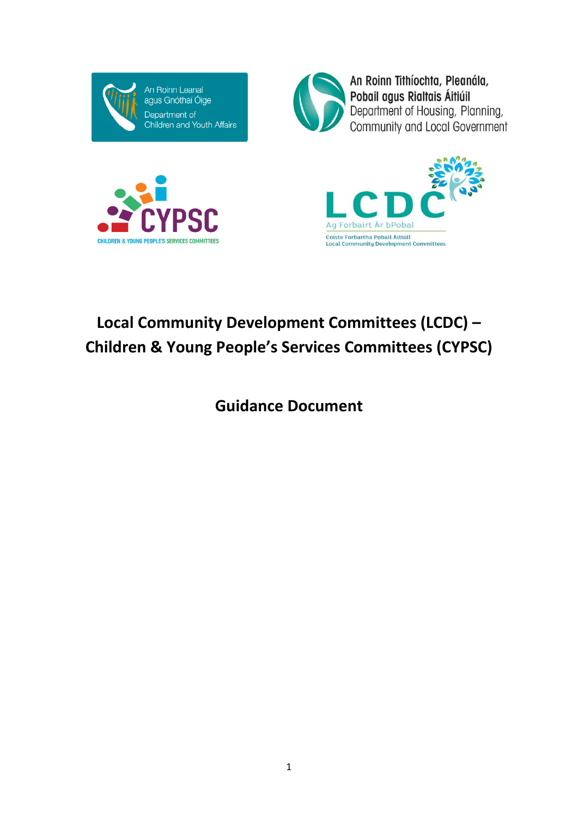



An Roinn Tithíochta, Pleanála, Pobail agus Rialtais Áitiúil<br>Department of Housing, Planning,<br>Community and Local Government





# **Local Community Development Committees (LCDC) – Children & Young People's Services Committees (CYPSC)**

**Guidance Document**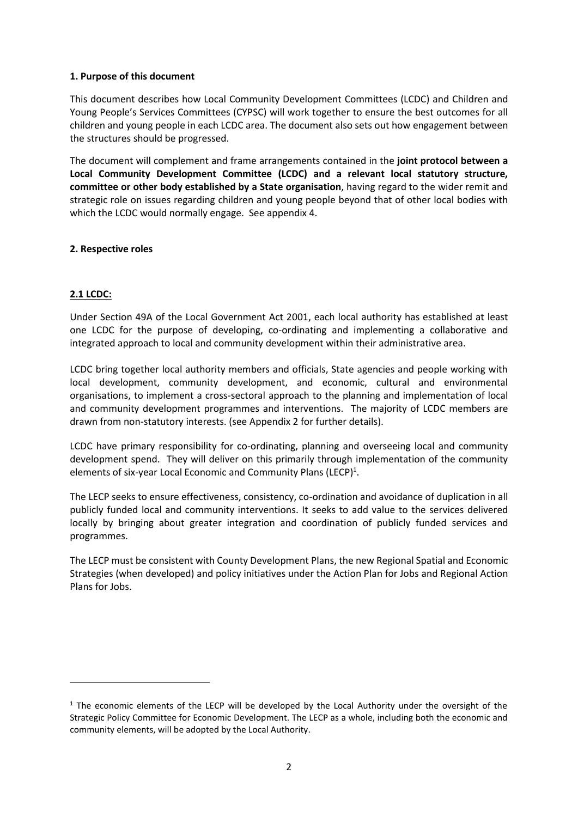## **1. Purpose of this document**

This document describes how Local Community Development Committees (LCDC) and Children and Young People's Services Committees (CYPSC) will work together to ensure the best outcomes for all children and young people in each LCDC area. The document also sets out how engagement between the structures should be progressed.

The document will complement and frame arrangements contained in the **joint protocol between a Local Community Development Committee (LCDC) and a relevant local statutory structure, committee or other body established by a State organisation**, having regard to the wider remit and strategic role on issues regarding children and young people beyond that of other local bodies with which the LCDC would normally engage. See appendix 4.

## **2. Respective roles**

## **2.1 LCDC:**

**.** 

Under Section 49A of the Local Government Act 2001, each local authority has established at least one LCDC for the purpose of developing, co-ordinating and implementing a collaborative and integrated approach to local and community development within their administrative area.

LCDC bring together local authority members and officials, State agencies and people working with local development, community development, and economic, cultural and environmental organisations, to implement a cross-sectoral approach to the planning and implementation of local and community development programmes and interventions. The majority of LCDC members are drawn from non-statutory interests. (see Appendix 2 for further details).

LCDC have primary responsibility for co-ordinating, planning and overseeing local and community development spend. They will deliver on this primarily through implementation of the community elements of six-year Local Economic and Community Plans (LECP)<sup>1</sup>.

The LECP seeks to ensure effectiveness, consistency, co-ordination and avoidance of duplication in all publicly funded local and community interventions. It seeks to add value to the services delivered locally by bringing about greater integration and coordination of publicly funded services and programmes.

The LECP must be consistent with County Development Plans, the new Regional Spatial and Economic Strategies (when developed) and policy initiatives under the Action Plan for Jobs and Regional Action Plans for Jobs.

 $1$  The economic elements of the LECP will be developed by the Local Authority under the oversight of the Strategic Policy Committee for Economic Development. The LECP as a whole, including both the economic and community elements, will be adopted by the Local Authority.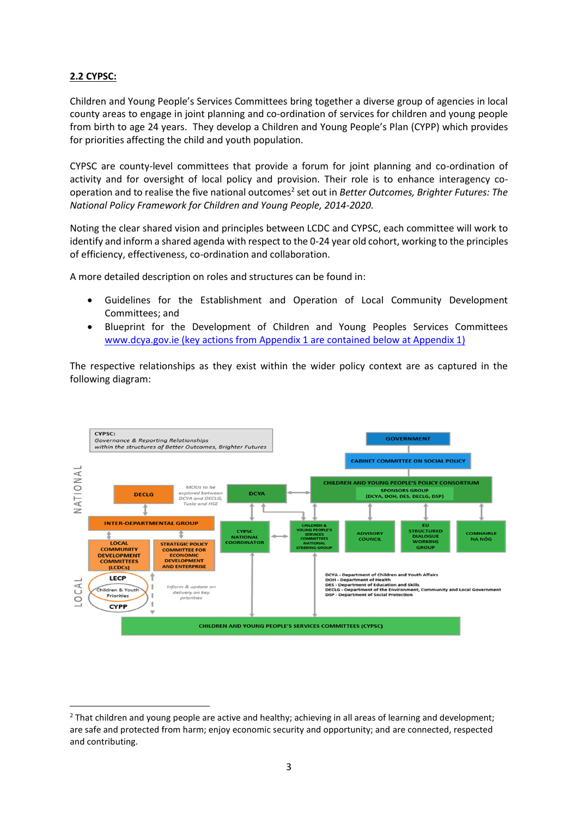## **2.2 CYPSC:**

**.** 

Children and Young People's Services Committees bring together a diverse group of agencies in local county areas to engage in joint planning and co-ordination of services for children and young people from birth to age 24 years. They develop a Children and Young People's Plan (CYPP) which provides for priorities affecting the child and youth population.

CYPSC are county-level committees that provide a forum for joint planning and co-ordination of activity and for oversight of local policy and provision. Their role is to enhance interagency cooperation and to realise the five national outcomes<sup>2</sup> set out in *Better Outcomes, Brighter Futures: The National Policy Framework for Children and Young People, 2014-2020.*

Noting the clear shared vision and principles between LCDC and CYPSC, each committee will work to identify and inform a shared agenda with respect to the 0-24 year old cohort, working to the principles of efficiency, effectiveness, co-ordination and collaboration.

A more detailed description on roles and structures can be found in:

- Guidelines for the Establishment and Operation of Local Community Development Committees; and
- Blueprint for the Development of Children and Young Peoples Services Committees [www.dcya.gov.ie](http://www.dcya.gov.ie/) (key actions from Appendix 1 are contained below at Appendix 1)

The respective relationships as they exist within the wider policy context are as captured in the following diagram:



<sup>&</sup>lt;sup>2</sup> That children and young people are active and healthy; achieving in all areas of learning and development; are safe and protected from harm; enjoy economic security and opportunity; and are connected, respected and contributing.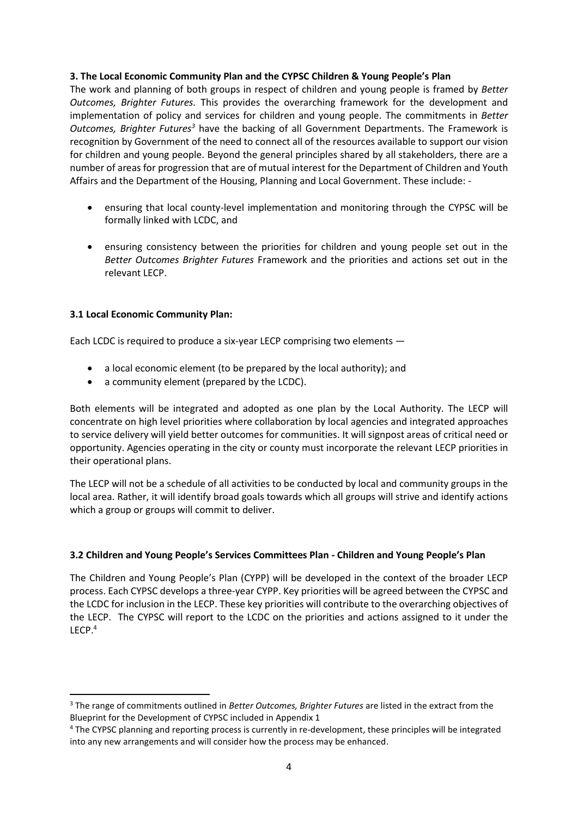## **3. The Local Economic Community Plan and the CYPSC Children & Young People's Plan**

The work and planning of both groups in respect of children and young people is framed by *Better Outcomes, Brighter Futures.* This provides the overarching framework for the development and implementation of policy and services for children and young people. The commitments in *Better Outcomes, Brighter Futures<sup>3</sup>* have the backing of all Government Departments. The Framework is recognition by Government of the need to connect all of the resources available to support our vision for children and young people. Beyond the general principles shared by all stakeholders, there are a number of areas for progression that are of mutual interest for the Department of Children and Youth Affairs and the Department of the Housing, Planning and Local Government. These include: -

- ensuring that local county-level implementation and monitoring through the CYPSC will be formally linked with LCDC, and
- ensuring consistency between the priorities for children and young people set out in the *Better Outcomes Brighter Futures* Framework and the priorities and actions set out in the relevant LECP.

## **3.1 Local Economic Community Plan:**

**.** 

Each LCDC is required to produce a six-year LECP comprising two elements —

- a local economic element (to be prepared by the local authority); and
- a community element (prepared by the LCDC).

Both elements will be integrated and adopted as one plan by the Local Authority. The LECP will concentrate on high level priorities where collaboration by local agencies and integrated approaches to service delivery will yield better outcomes for communities. It will signpost areas of critical need or opportunity. Agencies operating in the city or county must incorporate the relevant LECP priorities in their operational plans.

The LECP will not be a schedule of all activities to be conducted by local and community groups in the local area. Rather, it will identify broad goals towards which all groups will strive and identify actions which a group or groups will commit to deliver.

#### **3.2 Children and Young People's Services Committees Plan - Children and Young People's Plan**

The Children and Young People's Plan (CYPP) will be developed in the context of the broader LECP process. Each CYPSC develops a three-year CYPP. Key priorities will be agreed between the CYPSC and the LCDC for inclusion in the LECP. These key priorities will contribute to the overarching objectives of the LECP. The CYPSC will report to the LCDC on the priorities and actions assigned to it under the LECP. 4

<sup>3</sup> The range of commitments outlined in *Better Outcomes, Brighter Futures* are listed in the extract from the Blueprint for the Development of CYPSC included in Appendix 1

<sup>4</sup> The CYPSC planning and reporting process is currently in re-development, these principles will be integrated into any new arrangements and will consider how the process may be enhanced.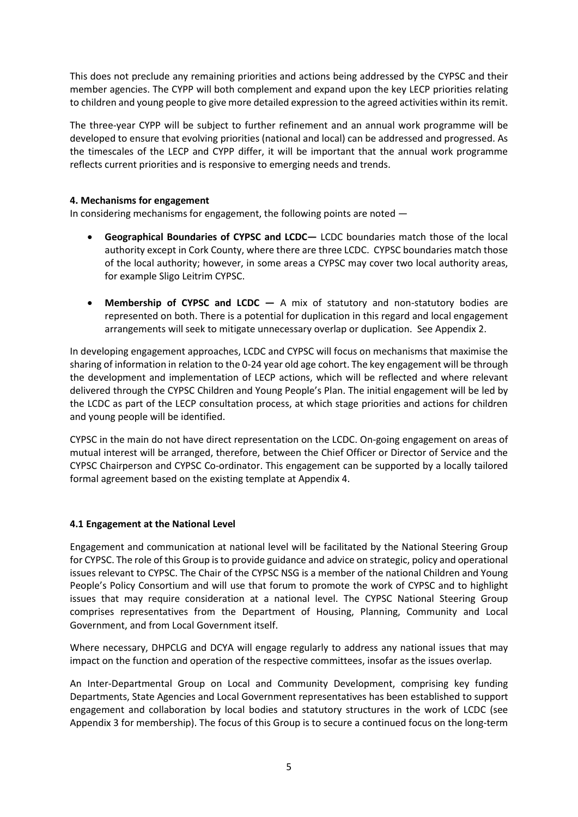This does not preclude any remaining priorities and actions being addressed by the CYPSC and their member agencies. The CYPP will both complement and expand upon the key LECP priorities relating to children and young people to give more detailed expression to the agreed activities within its remit.

The three-year CYPP will be subject to further refinement and an annual work programme will be developed to ensure that evolving priorities (national and local) can be addressed and progressed. As the timescales of the LECP and CYPP differ, it will be important that the annual work programme reflects current priorities and is responsive to emerging needs and trends.

## **4. Mechanisms for engagement**

In considering mechanisms for engagement, the following points are noted —

- **Geographical Boundaries of CYPSC and LCDC—** LCDC boundaries match those of the local authority except in Cork County, where there are three LCDC. CYPSC boundaries match those of the local authority; however, in some areas a CYPSC may cover two local authority areas, for example Sligo Leitrim CYPSC.
- **Membership of CYPSC and LCDC —** A mix of statutory and non-statutory bodies are represented on both. There is a potential for duplication in this regard and local engagement arrangements will seek to mitigate unnecessary overlap or duplication. See Appendix 2.

In developing engagement approaches, LCDC and CYPSC will focus on mechanisms that maximise the sharing of information in relation to the 0-24 year old age cohort. The key engagement will be through the development and implementation of LECP actions, which will be reflected and where relevant delivered through the CYPSC Children and Young People's Plan. The initial engagement will be led by the LCDC as part of the LECP consultation process, at which stage priorities and actions for children and young people will be identified.

CYPSC in the main do not have direct representation on the LCDC. On-going engagement on areas of mutual interest will be arranged, therefore, between the Chief Officer or Director of Service and the CYPSC Chairperson and CYPSC Co-ordinator. This engagement can be supported by a locally tailored formal agreement based on the existing template at Appendix 4.

#### **4.1 Engagement at the National Level**

Engagement and communication at national level will be facilitated by the National Steering Group for CYPSC. The role of this Group is to provide guidance and advice on strategic, policy and operational issues relevant to CYPSC. The Chair of the CYPSC NSG is a member of the national Children and Young People's Policy Consortium and will use that forum to promote the work of CYPSC and to highlight issues that may require consideration at a national level. The CYPSC National Steering Group comprises representatives from the Department of Housing, Planning, Community and Local Government, and from Local Government itself.

Where necessary, DHPCLG and DCYA will engage regularly to address any national issues that may impact on the function and operation of the respective committees, insofar as the issues overlap.

An Inter-Departmental Group on Local and Community Development, comprising key funding Departments, State Agencies and Local Government representatives has been established to support engagement and collaboration by local bodies and statutory structures in the work of LCDC (see Appendix 3 for membership). The focus of this Group is to secure a continued focus on the long-term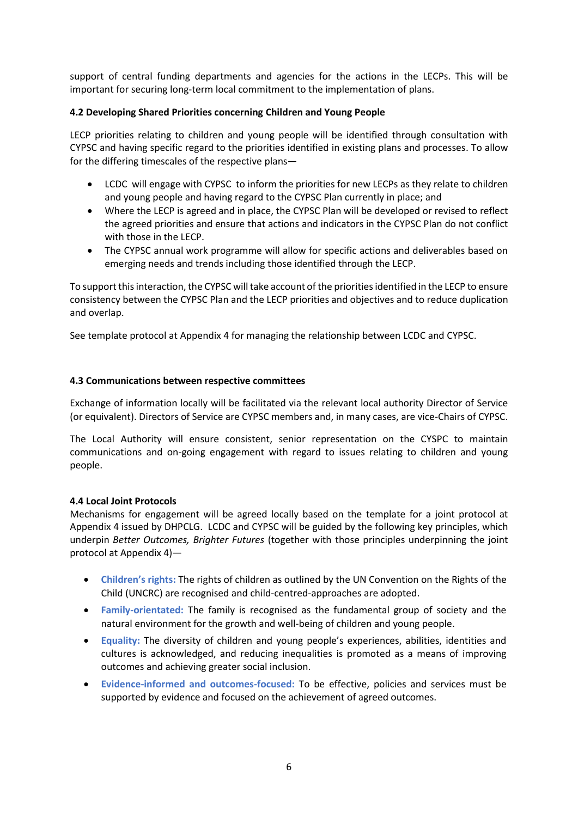support of central funding departments and agencies for the actions in the LECPs. This will be important for securing long-term local commitment to the implementation of plans.

## **4.2 Developing Shared Priorities concerning Children and Young People**

LECP priorities relating to children and young people will be identified through consultation with CYPSC and having specific regard to the priorities identified in existing plans and processes. To allow for the differing timescales of the respective plans—

- LCDC will engage with CYPSC to inform the priorities for new LECPs as they relate to children and young people and having regard to the CYPSC Plan currently in place; and
- Where the LECP is agreed and in place, the CYPSC Plan will be developed or revised to reflect the agreed priorities and ensure that actions and indicators in the CYPSC Plan do not conflict with those in the LECP.
- The CYPSC annual work programme will allow for specific actions and deliverables based on emerging needs and trends including those identified through the LECP.

To support this interaction, the CYPSC will take account of the priorities identified in the LECP to ensure consistency between the CYPSC Plan and the LECP priorities and objectives and to reduce duplication and overlap.

See template protocol at Appendix 4 for managing the relationship between LCDC and CYPSC.

## **4.3 Communications between respective committees**

Exchange of information locally will be facilitated via the relevant local authority Director of Service (or equivalent). Directors of Service are CYPSC members and, in many cases, are vice-Chairs of CYPSC.

The Local Authority will ensure consistent, senior representation on the CYSPC to maintain communications and on-going engagement with regard to issues relating to children and young people.

#### **4.4 Local Joint Protocols**

Mechanisms for engagement will be agreed locally based on the template for a joint protocol at Appendix 4 issued by DHPCLG. LCDC and CYPSC will be guided by the following key principles, which underpin *Better Outcomes, Brighter Futures* (together with those principles underpinning the joint protocol at Appendix 4)—

- **Children's rights:** The rights of children as outlined by the UN Convention on the Rights of the Child (UNCRC) are recognised and child-centred-approaches are adopted.
- **Family-orientated:** The family is recognised as the fundamental group of society and the natural environment for the growth and well-being of children and young people.
- **Equality:** The diversity of children and young people's experiences, abilities, identities and cultures is acknowledged, and reducing inequalities is promoted as a means of improving outcomes and achieving greater social inclusion.
- **Evidence-informed and outcomes-focused:** To be effective, policies and services must be supported by evidence and focused on the achievement of agreed outcomes.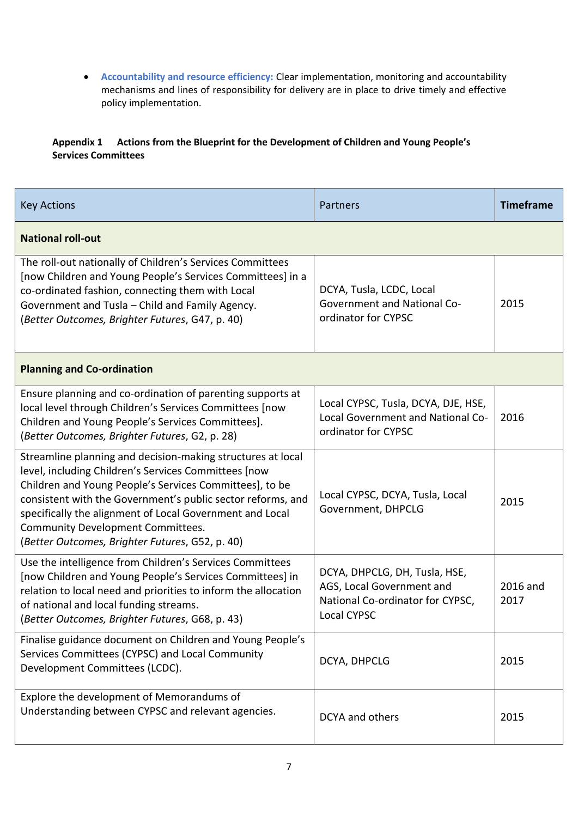**Accountability and resource efficiency:** Clear implementation, monitoring and accountability mechanisms and lines of responsibility for delivery are in place to drive timely and effective policy implementation.

## **Appendix 1 Actions from the Blueprint for the Development of Children and Young People's Services Committees**

| <b>Key Actions</b>                                                                                                                                                                                                                                                                                                                                                                                | Partners                                                                                                             | <b>Timeframe</b> |  |
|---------------------------------------------------------------------------------------------------------------------------------------------------------------------------------------------------------------------------------------------------------------------------------------------------------------------------------------------------------------------------------------------------|----------------------------------------------------------------------------------------------------------------------|------------------|--|
| <b>National roll-out</b>                                                                                                                                                                                                                                                                                                                                                                          |                                                                                                                      |                  |  |
| The roll-out nationally of Children's Services Committees<br>[now Children and Young People's Services Committees] in a<br>co-ordinated fashion, connecting them with Local<br>Government and Tusla - Child and Family Agency.<br>(Better Outcomes, Brighter Futures, G47, p. 40)                                                                                                                 | DCYA, Tusla, LCDC, Local<br><b>Government and National Co-</b><br>ordinator for CYPSC                                | 2015             |  |
| <b>Planning and Co-ordination</b>                                                                                                                                                                                                                                                                                                                                                                 |                                                                                                                      |                  |  |
| Ensure planning and co-ordination of parenting supports at<br>local level through Children's Services Committees [now<br>Children and Young People's Services Committees].<br>(Better Outcomes, Brighter Futures, G2, p. 28)                                                                                                                                                                      | Local CYPSC, Tusla, DCYA, DJE, HSE,<br>Local Government and National Co-<br>ordinator for CYPSC                      | 2016             |  |
| Streamline planning and decision-making structures at local<br>level, including Children's Services Committees [now<br>Children and Young People's Services Committees], to be<br>consistent with the Government's public sector reforms, and<br>specifically the alignment of Local Government and Local<br>Community Development Committees.<br>(Better Outcomes, Brighter Futures, G52, p. 40) | Local CYPSC, DCYA, Tusla, Local<br>Government, DHPCLG                                                                | 2015             |  |
| Use the intelligence from Children's Services Committees<br>[now Children and Young People's Services Committees] in<br>relation to local need and priorities to inform the allocation<br>of national and local funding streams.<br>(Better Outcomes, Brighter Futures, G68, p. 43)                                                                                                               | DCYA, DHPCLG, DH, Tusla, HSE,<br>AGS, Local Government and<br>National Co-ordinator for CYPSC,<br><b>Local CYPSC</b> | 2016 and<br>2017 |  |
| Finalise guidance document on Children and Young People's<br>Services Committees (CYPSC) and Local Community<br>Development Committees (LCDC).                                                                                                                                                                                                                                                    | DCYA, DHPCLG                                                                                                         | 2015             |  |
| Explore the development of Memorandums of<br>Understanding between CYPSC and relevant agencies.                                                                                                                                                                                                                                                                                                   | <b>DCYA</b> and others                                                                                               | 2015             |  |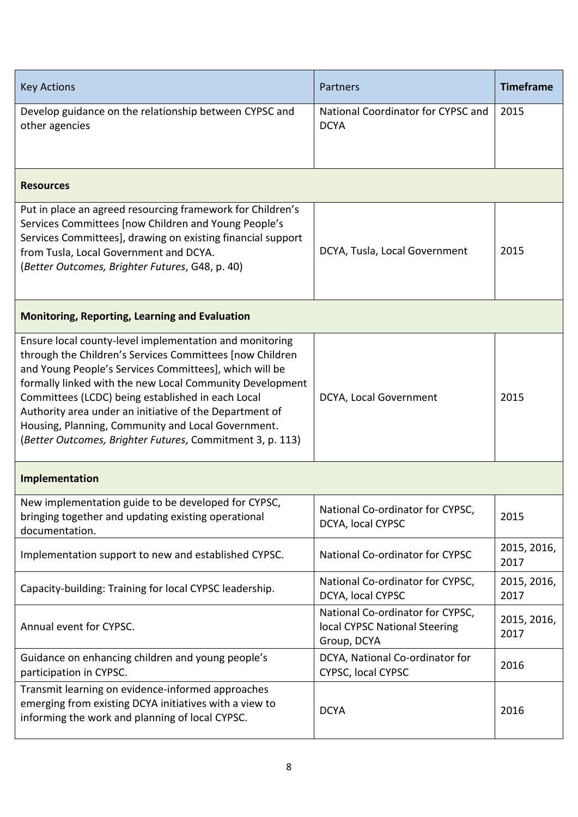| <b>Key Actions</b>                                                                                                                                                                                                                                                                                                                                                                                                                                                            | Partners                                                                         | <b>Timeframe</b>    |  |  |
|-------------------------------------------------------------------------------------------------------------------------------------------------------------------------------------------------------------------------------------------------------------------------------------------------------------------------------------------------------------------------------------------------------------------------------------------------------------------------------|----------------------------------------------------------------------------------|---------------------|--|--|
| Develop guidance on the relationship between CYPSC and<br>other agencies                                                                                                                                                                                                                                                                                                                                                                                                      | National Coordinator for CYPSC and<br><b>DCYA</b>                                | 2015                |  |  |
| <b>Resources</b>                                                                                                                                                                                                                                                                                                                                                                                                                                                              |                                                                                  |                     |  |  |
| Put in place an agreed resourcing framework for Children's<br>Services Committees [now Children and Young People's<br>Services Committees], drawing on existing financial support<br>from Tusla, Local Government and DCYA.<br>(Better Outcomes, Brighter Futures, G48, p. 40)                                                                                                                                                                                                | DCYA, Tusla, Local Government                                                    | 2015                |  |  |
| <b>Monitoring, Reporting, Learning and Evaluation</b>                                                                                                                                                                                                                                                                                                                                                                                                                         |                                                                                  |                     |  |  |
| Ensure local county-level implementation and monitoring<br>through the Children's Services Committees [now Children]<br>and Young People's Services Committees], which will be<br>formally linked with the new Local Community Development<br>Committees (LCDC) being established in each Local<br>Authority area under an initiative of the Department of<br>Housing, Planning, Community and Local Government.<br>(Better Outcomes, Brighter Futures, Commitment 3, p. 113) | DCYA, Local Government                                                           | 2015                |  |  |
| Implementation                                                                                                                                                                                                                                                                                                                                                                                                                                                                |                                                                                  |                     |  |  |
| New implementation guide to be developed for CYPSC,<br>bringing together and updating existing operational<br>documentation.                                                                                                                                                                                                                                                                                                                                                  | National Co-ordinator for CYPSC,<br>DCYA, local CYPSC                            | 2015                |  |  |
| Implementation support to new and established CYPSC.                                                                                                                                                                                                                                                                                                                                                                                                                          | National Co-ordinator for CYPSC                                                  | 2015, 2016,<br>2017 |  |  |
| Capacity-building: Training for local CYPSC leadership.                                                                                                                                                                                                                                                                                                                                                                                                                       | National Co-ordinator for CYPSC,<br>DCYA, local CYPSC                            | 2015, 2016,<br>2017 |  |  |
| Annual event for CYPSC.                                                                                                                                                                                                                                                                                                                                                                                                                                                       | National Co-ordinator for CYPSC,<br>local CYPSC National Steering<br>Group, DCYA | 2015, 2016,<br>2017 |  |  |
| Guidance on enhancing children and young people's<br>participation in CYPSC.                                                                                                                                                                                                                                                                                                                                                                                                  | DCYA, National Co-ordinator for<br>CYPSC, local CYPSC                            | 2016                |  |  |
| Transmit learning on evidence-informed approaches<br>emerging from existing DCYA initiatives with a view to<br>informing the work and planning of local CYPSC.                                                                                                                                                                                                                                                                                                                | <b>DCYA</b>                                                                      | 2016                |  |  |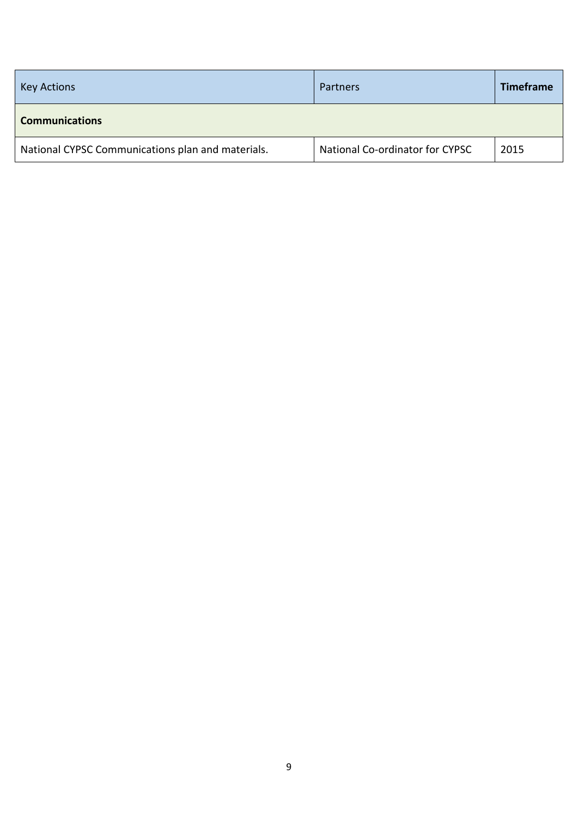| <b>Key Actions</b>                                | <b>Partners</b>                 | <b>Timeframe</b> |  |  |
|---------------------------------------------------|---------------------------------|------------------|--|--|
| <b>Communications</b>                             |                                 |                  |  |  |
| National CYPSC Communications plan and materials. | National Co-ordinator for CYPSC | 2015             |  |  |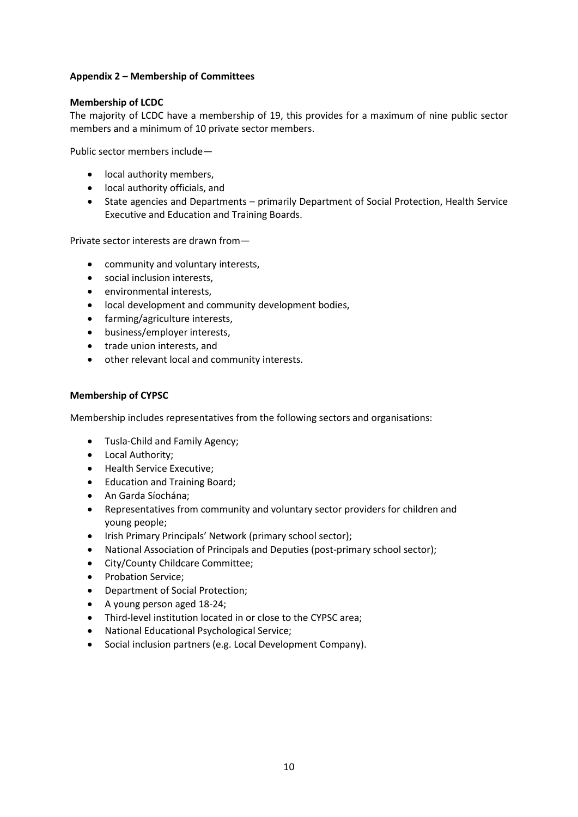## **Appendix 2 – Membership of Committees**

## **Membership of LCDC**

The majority of LCDC have a membership of 19, this provides for a maximum of nine public sector members and a minimum of 10 private sector members.

Public sector members include—

- local authority members,
- local authority officials, and
- State agencies and Departments primarily Department of Social Protection, Health Service Executive and Education and Training Boards.

Private sector interests are drawn from—

- community and voluntary interests,
- social inclusion interests,
- environmental interests,
- local development and community development bodies,
- farming/agriculture interests,
- business/employer interests,
- trade union interests, and
- other relevant local and community interests.

#### **Membership of CYPSC**

Membership includes representatives from the following sectors and organisations:

- Tusla-Child and Family Agency;
- Local Authority;
- Health Service Executive;
- Education and Training Board;
- An Garda Síochána;
- Representatives from community and voluntary sector providers for children and young people;
- Irish Primary Principals' Network (primary school sector);
- National Association of Principals and Deputies (post-primary school sector);
- City/County Childcare Committee;
- Probation Service;
- Department of Social Protection;
- A young person aged 18-24;
- Third-level institution located in or close to the CYPSC area;
- National Educational Psychological Service;
- Social inclusion partners (e.g. Local Development Company).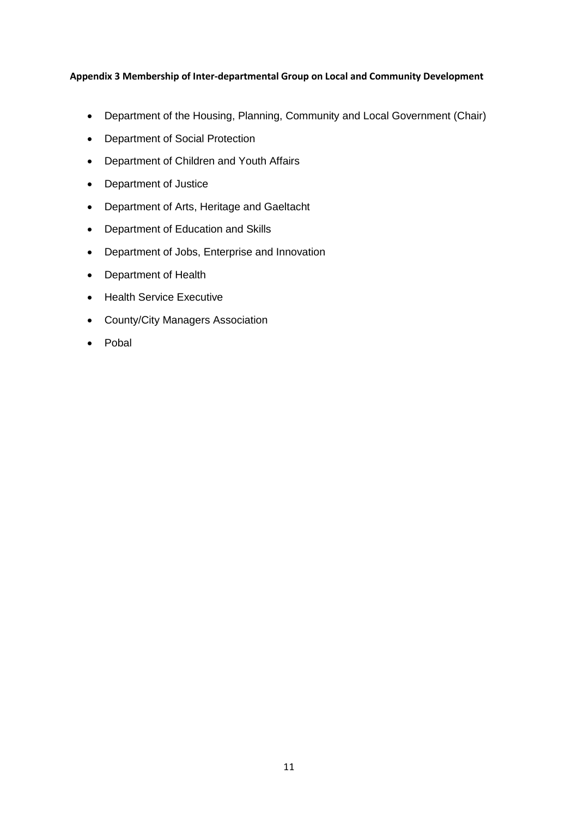## **Appendix 3 Membership of Inter-departmental Group on Local and Community Development**

- Department of the Housing, Planning, Community and Local Government (Chair)
- Department of Social Protection
- Department of Children and Youth Affairs
- Department of Justice
- Department of Arts, Heritage and Gaeltacht
- Department of Education and Skills
- Department of Jobs, Enterprise and Innovation
- Department of Health
- Health Service Executive
- County/City Managers Association
- Pobal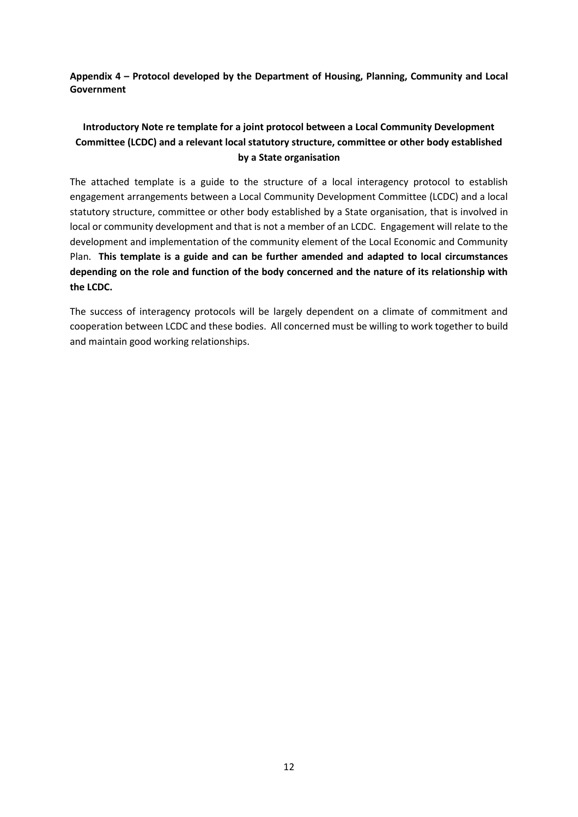**Appendix 4 – Protocol developed by the Department of Housing, Planning, Community and Local Government**

# **Introductory Note re template for a joint protocol between a Local Community Development Committee (LCDC) and a relevant local statutory structure, committee or other body established by a State organisation**

The attached template is a guide to the structure of a local interagency protocol to establish engagement arrangements between a Local Community Development Committee (LCDC) and a local statutory structure, committee or other body established by a State organisation, that is involved in local or community development and that is not a member of an LCDC. Engagement will relate to the development and implementation of the community element of the Local Economic and Community Plan. **This template is a guide and can be further amended and adapted to local circumstances depending on the role and function of the body concerned and the nature of its relationship with the LCDC.**

The success of interagency protocols will be largely dependent on a climate of commitment and cooperation between LCDC and these bodies. All concerned must be willing to work together to build and maintain good working relationships.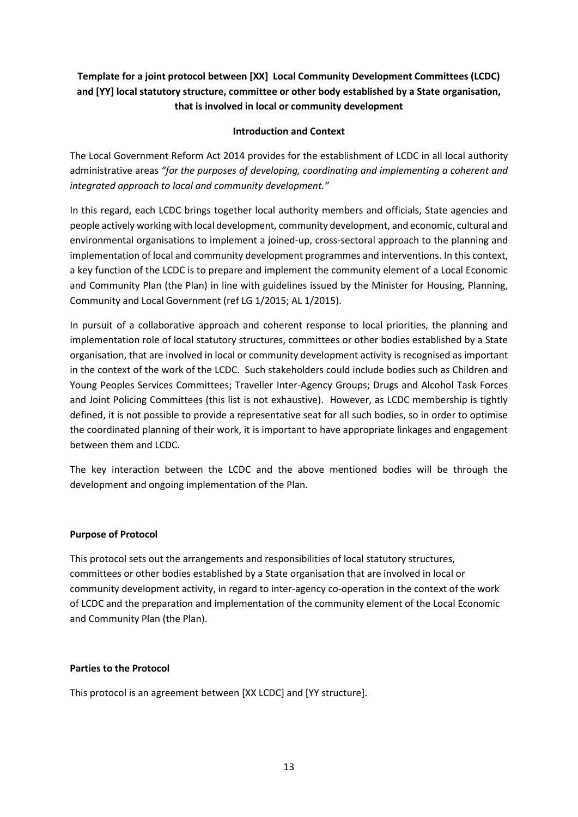# **Template for a joint protocol between [XX] Local Community Development Committees (LCDC) and [YY] local statutory structure, committee or other body established by a State organisation, that is involved in local or community development**

## **Introduction and Context**

The Local Government Reform Act 2014 provides for the establishment of LCDC in all local authority administrative areas *"for the purposes of developing, coordinating and implementing a coherent and integrated approach to local and community development."*

In this regard, each LCDC brings together local authority members and officials, State agencies and people actively working with local development, community development, and economic, cultural and environmental organisations to implement a joined-up, cross-sectoral approach to the planning and implementation of local and community development programmes and interventions. In this context, a key function of the LCDC is to prepare and implement the community element of a Local Economic and Community Plan (the Plan) in line with guidelines issued by the Minister for Housing, Planning, Community and Local Government (ref LG 1/2015; AL 1/2015).

In pursuit of a collaborative approach and coherent response to local priorities, the planning and implementation role of local statutory structures, committees or other bodies established by a State organisation, that are involved in local or community development activity is recognised as important in the context of the work of the LCDC. Such stakeholders could include bodies such as Children and Young Peoples Services Committees; Traveller Inter-Agency Groups; Drugs and Alcohol Task Forces and Joint Policing Committees (this list is not exhaustive). However, as LCDC membership is tightly defined, it is not possible to provide a representative seat for all such bodies, so in order to optimise the coordinated planning of their work, it is important to have appropriate linkages and engagement between them and LCDC.

The key interaction between the LCDC and the above mentioned bodies will be through the development and ongoing implementation of the Plan.

#### **Purpose of Protocol**

This protocol sets out the arrangements and responsibilities of local statutory structures, committees or other bodies established by a State organisation that are involved in local or community development activity, in regard to inter-agency co-operation in the context of the work of LCDC and the preparation and implementation of the community element of the Local Economic and Community Plan (the Plan).

#### **Parties to the Protocol**

This protocol is an agreement between [XX LCDC] and [YY structure].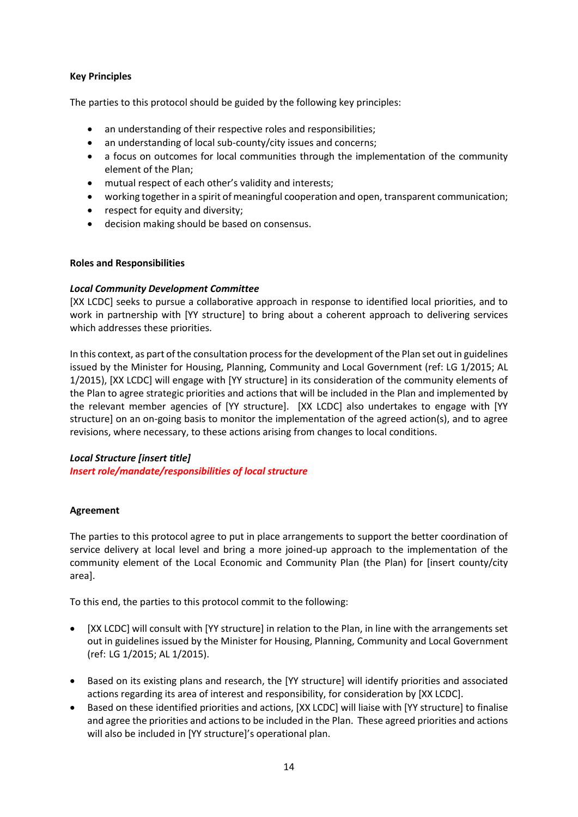## **Key Principles**

The parties to this protocol should be guided by the following key principles:

- an understanding of their respective roles and responsibilities;
- an understanding of local sub-county/city issues and concerns;
- a focus on outcomes for local communities through the implementation of the community element of the Plan;
- mutual respect of each other's validity and interests;
- working together in a spirit of meaningful cooperation and open, transparent communication;
- respect for equity and diversity;
- decision making should be based on consensus.

## **Roles and Responsibilities**

## *Local Community Development Committee*

[XX LCDC] seeks to pursue a collaborative approach in response to identified local priorities, and to work in partnership with [YY structure] to bring about a coherent approach to delivering services which addresses these priorities.

In this context, as part of the consultation process for the development of the Plan set out in guidelines issued by the Minister for Housing, Planning, Community and Local Government (ref: LG 1/2015; AL 1/2015), [XX LCDC] will engage with [YY structure] in its consideration of the community elements of the Plan to agree strategic priorities and actions that will be included in the Plan and implemented by the relevant member agencies of [YY structure]. [XX LCDC] also undertakes to engage with [YY structure] on an on-going basis to monitor the implementation of the agreed action(s), and to agree revisions, where necessary, to these actions arising from changes to local conditions.

## *Local Structure [insert title]*

*Insert role/mandate/responsibilities of local structure*

## **Agreement**

The parties to this protocol agree to put in place arrangements to support the better coordination of service delivery at local level and bring a more joined-up approach to the implementation of the community element of the Local Economic and Community Plan (the Plan) for [insert county/city area].

To this end, the parties to this protocol commit to the following:

- [XX LCDC] will consult with [YY structure] in relation to the Plan, in line with the arrangements set out in guidelines issued by the Minister for Housing, Planning, Community and Local Government (ref: LG 1/2015; AL 1/2015).
- Based on its existing plans and research, the [YY structure] will identify priorities and associated actions regarding its area of interest and responsibility, for consideration by [XX LCDC].
- Based on these identified priorities and actions, [XX LCDC] will liaise with [YY structure] to finalise and agree the priorities and actions to be included in the Plan. These agreed priorities and actions will also be included in [YY structure]'s operational plan.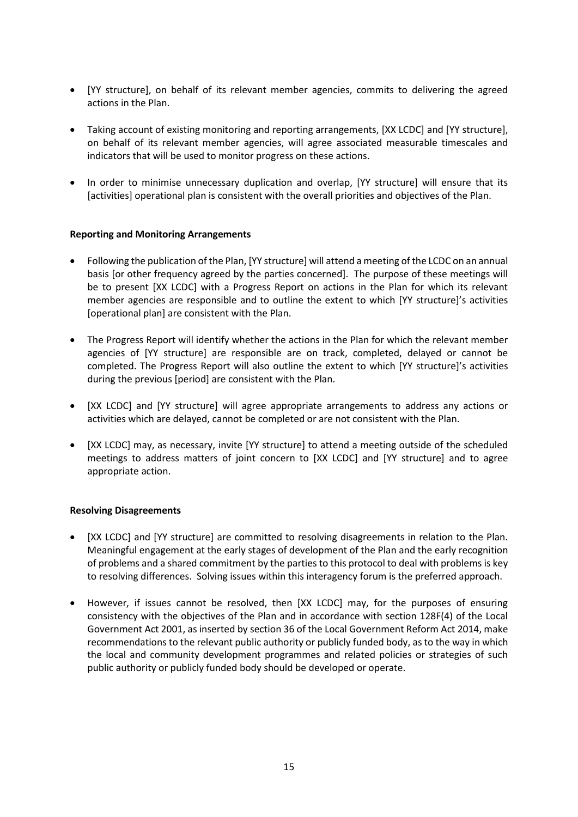- [YY structure], on behalf of its relevant member agencies, commits to delivering the agreed actions in the Plan.
- Taking account of existing monitoring and reporting arrangements, [XX LCDC] and [YY structure], on behalf of its relevant member agencies, will agree associated measurable timescales and indicators that will be used to monitor progress on these actions.
- In order to minimise unnecessary duplication and overlap, [YY structure] will ensure that its [activities] operational plan is consistent with the overall priorities and objectives of the Plan.

## **Reporting and Monitoring Arrangements**

- Following the publication of the Plan, [YY structure] will attend a meeting of the LCDC on an annual basis [or other frequency agreed by the parties concerned]. The purpose of these meetings will be to present [XX LCDC] with a Progress Report on actions in the Plan for which its relevant member agencies are responsible and to outline the extent to which [YY structure]'s activities [operational plan] are consistent with the Plan.
- The Progress Report will identify whether the actions in the Plan for which the relevant member agencies of [YY structure] are responsible are on track, completed, delayed or cannot be completed. The Progress Report will also outline the extent to which [YY structure]'s activities during the previous [period] are consistent with the Plan.
- [XX LCDC] and [YY structure] will agree appropriate arrangements to address any actions or activities which are delayed, cannot be completed or are not consistent with the Plan.
- [XX LCDC] may, as necessary, invite [YY structure] to attend a meeting outside of the scheduled meetings to address matters of joint concern to [XX LCDC] and [YY structure] and to agree appropriate action.

#### **Resolving Disagreements**

- [XX LCDC] and [YY structure] are committed to resolving disagreements in relation to the Plan. Meaningful engagement at the early stages of development of the Plan and the early recognition of problems and a shared commitment by the parties to this protocol to deal with problems is key to resolving differences. Solving issues within this interagency forum is the preferred approach.
- However, if issues cannot be resolved, then [XX LCDC] may, for the purposes of ensuring consistency with the objectives of the Plan and in accordance with section 128F(4) of the Local Government Act 2001, as inserted by section 36 of the Local Government Reform Act 2014, make recommendations to the relevant public authority or publicly funded body, as to the way in which the local and community development programmes and related policies or strategies of such public authority or publicly funded body should be developed or operate.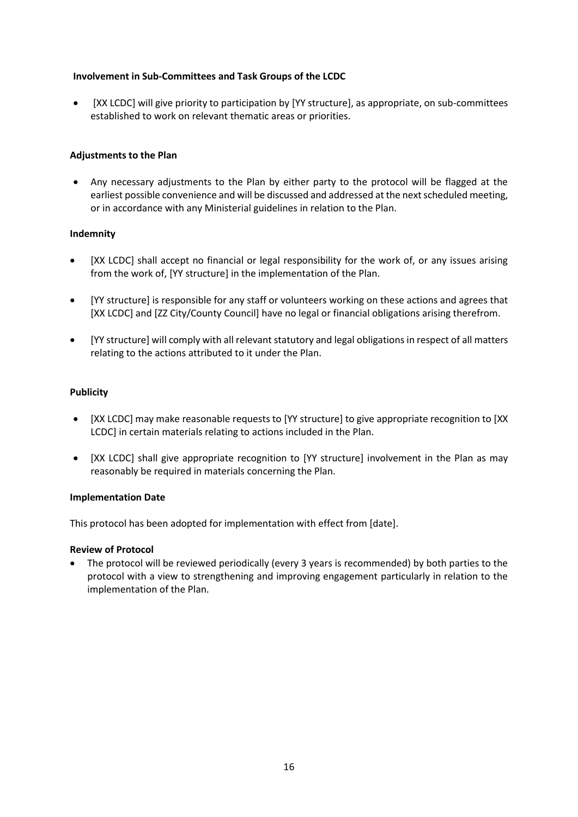## **Involvement in Sub-Committees and Task Groups of the LCDC**

 [XX LCDC] will give priority to participation by [YY structure], as appropriate, on sub-committees established to work on relevant thematic areas or priorities.

## **Adjustments to the Plan**

 Any necessary adjustments to the Plan by either party to the protocol will be flagged at the earliest possible convenience and will be discussed and addressed at the next scheduled meeting, or in accordance with any Ministerial guidelines in relation to the Plan.

## **Indemnity**

- [XX LCDC] shall accept no financial or legal responsibility for the work of, or any issues arising from the work of, [YY structure] in the implementation of the Plan.
- [YY structure] is responsible for any staff or volunteers working on these actions and agrees that [XX LCDC] and [ZZ City/County Council] have no legal or financial obligations arising therefrom.
- [YY structure] will comply with all relevant statutory and legal obligations in respect of all matters relating to the actions attributed to it under the Plan.

## **Publicity**

- [XX LCDC] may make reasonable requests to [YY structure] to give appropriate recognition to [XX LCDC] in certain materials relating to actions included in the Plan.
- [XX LCDC] shall give appropriate recognition to [YY structure] involvement in the Plan as may reasonably be required in materials concerning the Plan.

#### **Implementation Date**

This protocol has been adopted for implementation with effect from [date].

#### **Review of Protocol**

 The protocol will be reviewed periodically (every 3 years is recommended) by both parties to the protocol with a view to strengthening and improving engagement particularly in relation to the implementation of the Plan.